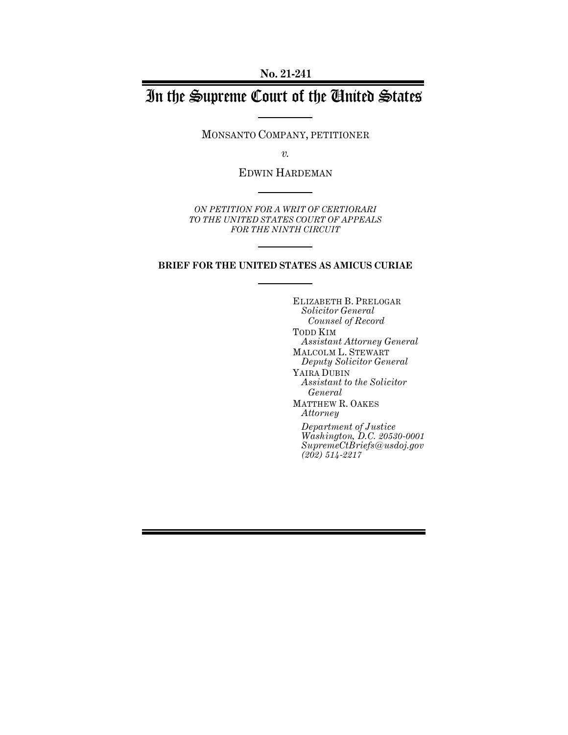**No. 21-241**

# In the Supreme Court of the United States

MONSANTO COMPANY, PETITIONER

*v.*

EDWIN HARDEMAN

*ON PETITION FOR A WRIT OF CERTIORARI TO THE UNITED STATES COURT OF APPEALS FOR THE NINTH CIRCUIT*

#### **BRIEF FOR THE UNITED STATES AS AMICUS CURIAE**

ELIZABETH B. PRELOGAR *Solicitor General Counsel of Record* TODD KIM *Assistant Attorney General* MALCOLM L. STEWART *Deputy Solicitor General* YAIRA DUBIN *Assistant to the Solicitor General* MATTHEW R. OAKES *Attorney Department of Justice Washington, D.C. 20530-0001 SupremeCtBriefs@usdoj.gov (202) 514-2217*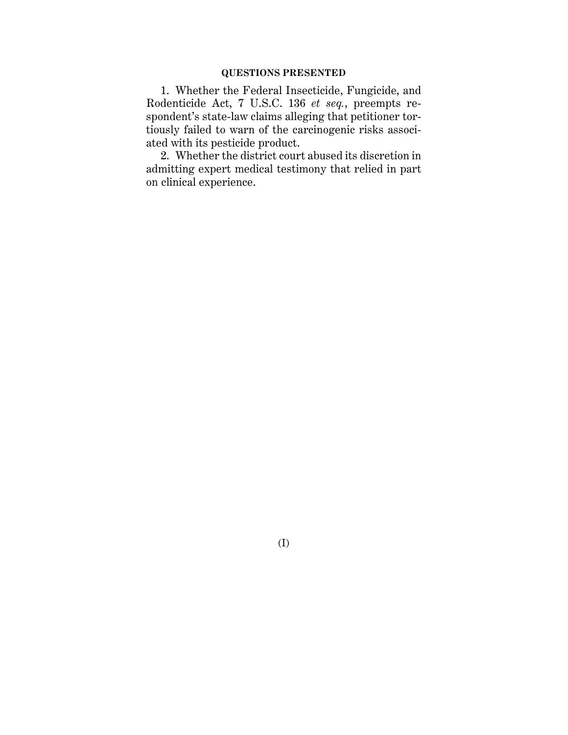#### **QUESTIONS PRESENTED**

1. Whether the Federal Insecticide, Fungicide, and Rodenticide Act, 7 U.S.C. 136 *et seq.*, preempts respondent's state-law claims alleging that petitioner tortiously failed to warn of the carcinogenic risks associated with its pesticide product.

2. Whether the district court abused its discretion in admitting expert medical testimony that relied in part on clinical experience.

(I)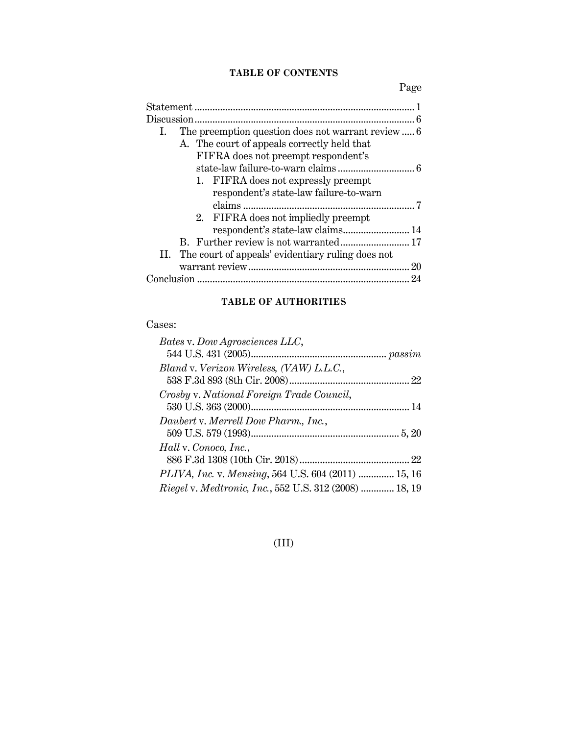## **TABLE OF CONTENTS**

Page

| 7                                |
|----------------------------------|
|                                  |
| respondent's state-law claims 14 |
|                                  |
|                                  |
| 20                               |
|                                  |
|                                  |

## **TABLE OF AUTHORITIES**

## Cases:

| Bates v. Dow Agrosciences LLC,                                 |  |
|----------------------------------------------------------------|--|
|                                                                |  |
| Bland v. Verizon Wireless, (VAW) L.L.C.,                       |  |
|                                                                |  |
| Crosby v. National Foreign Trade Council,                      |  |
|                                                                |  |
| Daubert v. Merrell Dow Pharm., Inc.,                           |  |
|                                                                |  |
| Hall v. Conoco, Inc.,                                          |  |
|                                                                |  |
| PLIVA, Inc. v. Mensing, 564 U.S. 604 (2011)  15, 16            |  |
| <i>Riegel v. Medtronic, Inc.</i> , 552 U.S. 312 (2008)  18, 19 |  |

## (III)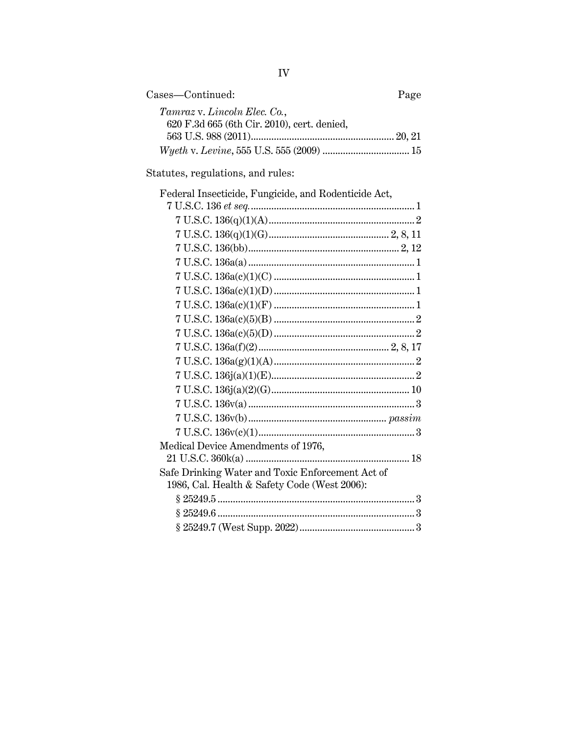| Cases—Continued:                            | Page |
|---------------------------------------------|------|
| Tamraz v. Lincoln Elec. Co.,                |      |
| 620 F.3d 665 (6th Cir. 2010), cert. denied, |      |
|                                             |      |
|                                             |      |

Statutes, regulations, and rules:

| Federal Insecticide, Fungicide, and Rodenticide Act, |  |
|------------------------------------------------------|--|
|                                                      |  |
|                                                      |  |
|                                                      |  |
|                                                      |  |
|                                                      |  |
|                                                      |  |
|                                                      |  |
|                                                      |  |
|                                                      |  |
|                                                      |  |
|                                                      |  |
|                                                      |  |
|                                                      |  |
|                                                      |  |
|                                                      |  |
|                                                      |  |
|                                                      |  |
| Medical Device Amendments of 1976,                   |  |
|                                                      |  |
| Safe Drinking Water and Toxic Enforcement Act of     |  |
| 1986, Cal. Health & Safety Code (West 2006):         |  |
|                                                      |  |
|                                                      |  |
|                                                      |  |

 ${\rm IV}$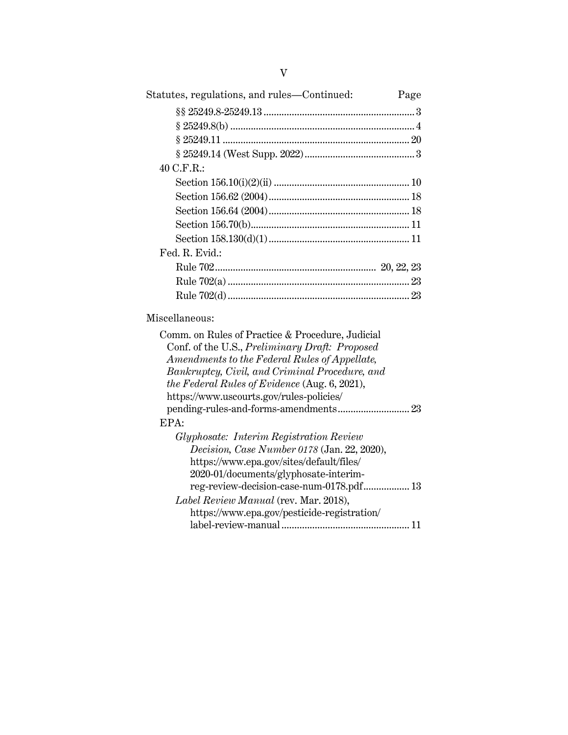| Statutes, regulations, and rules—Continued:      | Page |
|--------------------------------------------------|------|
|                                                  |      |
|                                                  |      |
|                                                  |      |
|                                                  |      |
| 40 C.F.R.:                                       |      |
|                                                  |      |
|                                                  |      |
|                                                  |      |
|                                                  |      |
|                                                  |      |
| Fed. R. Evid.:                                   |      |
|                                                  |      |
|                                                  |      |
|                                                  |      |
| Miscellaneous:                                   |      |
| Comm. on Rules of Practice & Procedure, Judicial |      |
| Conf. of the U.S., Preliminary Draft: Proposed   |      |
| Amendments to the Federal Rules of Appellate,    |      |
| Bankruptcy, Civil, and Criminal Procedure, and   |      |
| the Federal Rules of Evidence (Aug. $6, 2021$ ), |      |

## EP.

| Decision, Case Number 0178 (Jan. 22, 2020), |
|---------------------------------------------|
|                                             |
|                                             |
| reg-review-decision-case-num-0178.pdf 13    |
|                                             |
|                                             |
|                                             |
|                                             |

pending-rules-and-forms-amendments............................ 23

https://www.uscourts.gov/rules-policies/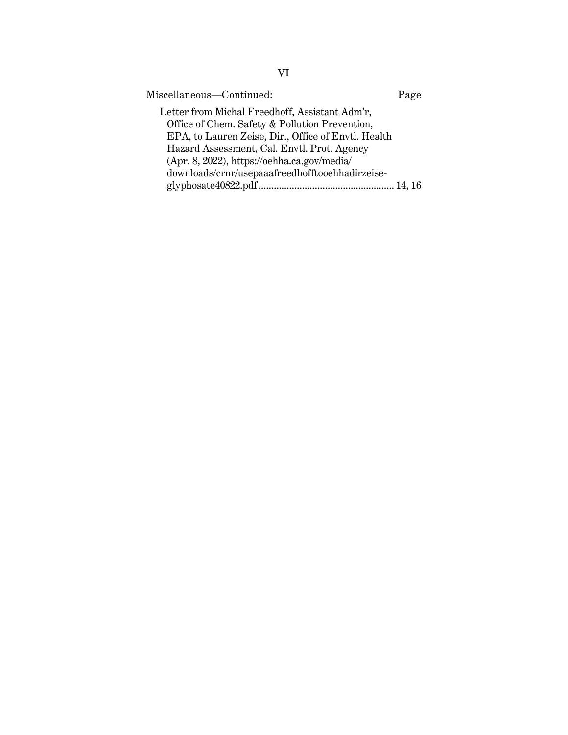| Miscellaneous—Continued:                                                                         | Page |
|--------------------------------------------------------------------------------------------------|------|
| Letter from Michal Freedhoff, Assistant Adm'r,<br>Office of Chem. Safety & Pollution Prevention, |      |
| EPA, to Lauren Zeise, Dir., Office of Envtl. Health                                              |      |
| Hazard Assessment, Cal. Envtl. Prot. Agency<br>(Apr. 8, 2022), https://oehha.ca.gov/media/       |      |
| downloads/crnr/usepaaafreedhofftooehhadirzeise-                                                  |      |
|                                                                                                  |      |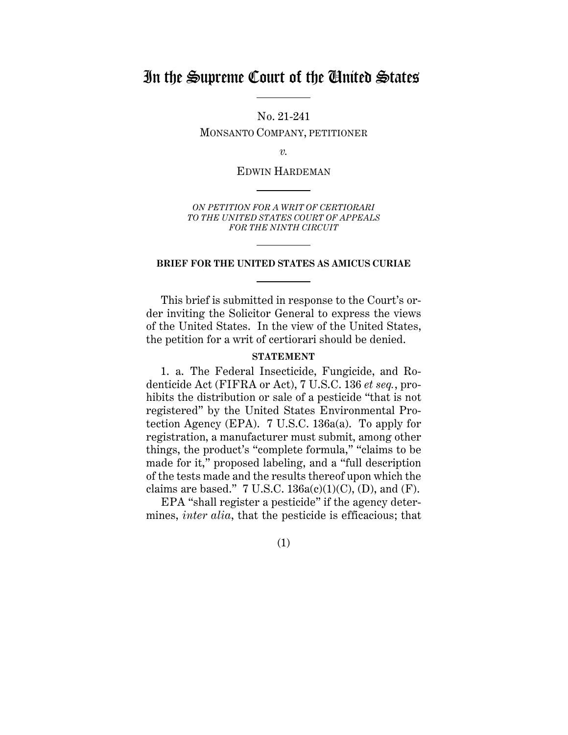## In the Supreme Court of the United States

No. 21-241 MONSANTO COMPANY, PETITIONER

*v.*

EDWIN HARDEMAN

*ON PETITION FOR A WRIT OF CERTIORARI TO THE UNITED STATES COURT OF APPEALS FOR THE NINTH CIRCUIT*

#### **BRIEF FOR THE UNITED STATES AS AMICUS CURIAE**

This brief is submitted in response to the Court's order inviting the Solicitor General to express the views of the United States. In the view of the United States, the petition for a writ of certiorari should be denied.

#### **STATEMENT**

1. a. The Federal Insecticide, Fungicide, and Rodenticide Act (FIFRA or Act), 7 U.S.C. 136 *et seq.*, prohibits the distribution or sale of a pesticide "that is not registered" by the United States Environmental Protection Agency (EPA). 7 U.S.C. 136a(a). To apply for registration, a manufacturer must submit, among other things, the product's "complete formula," "claims to be made for it," proposed labeling, and a "full description of the tests made and the results thereof upon which the claims are based." 7 U.S.C.  $136a(c)(1)(C)$ , (D), and (F).

EPA "shall register a pesticide" if the agency determines, *inter alia*, that the pesticide is efficacious; that

(1)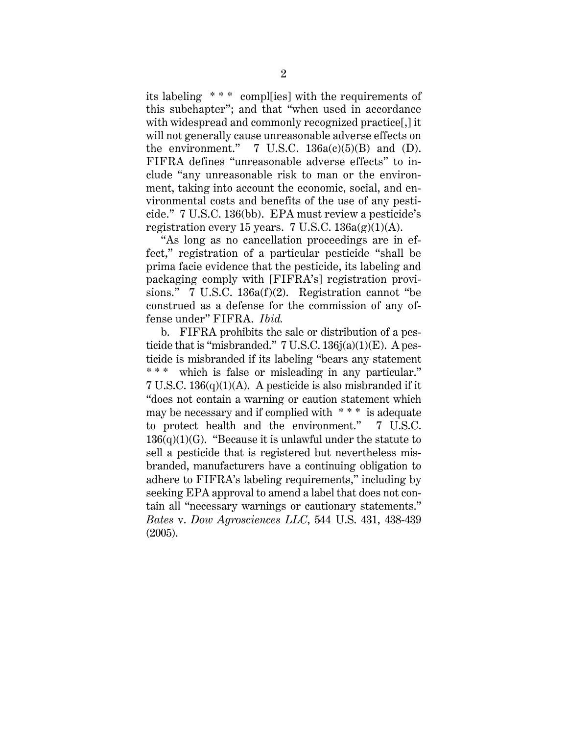its labeling \* \* \* compl[ies] with the requirements of this subchapter"; and that "when used in accordance with widespread and commonly recognized practice[,] it will not generally cause unreasonable adverse effects on the environment."  $7 \text{ U.S.C. } 136a(c)(5)(B)$  and (D). FIFRA defines "unreasonable adverse effects" to include "any unreasonable risk to man or the environment, taking into account the economic, social, and environmental costs and benefits of the use of any pesticide." 7 U.S.C. 136(bb). EPA must review a pesticide's registration every 15 years. 7 U.S.C.  $136a(g)(1)(A)$ .

"As long as no cancellation proceedings are in effect," registration of a particular pesticide "shall be prima facie evidence that the pesticide, its labeling and packaging comply with [FIFRA's] registration provisions." 7 U.S.C. 136a(f)(2). Registration cannot "be construed as a defense for the commission of any offense under" FIFRA. *Ibid.*

b. FIFRA prohibits the sale or distribution of a pesticide that is "misbranded."  $7 \text{ U.S.C. } 136j(a)(1)(E)$ . A pesticide is misbranded if its labeling "bears any statement \*\*\* which is false or misleading in any particular."  $7 \text{ U.S.C. } 136(q)(1)(\text{A}).$  A pesticide is also misbranded if it "does not contain a warning or caution statement which may be necessary and if complied with \* \* \* is adequate to protect health and the environment." 7 U.S.C.  $136(q)(1)(G)$ . "Because it is unlawful under the statute to sell a pesticide that is registered but nevertheless misbranded, manufacturers have a continuing obligation to adhere to FIFRA's labeling requirements," including by seeking EPA approval to amend a label that does not contain all "necessary warnings or cautionary statements." *Bates* v. *Dow Agrosciences LLC*, 544 U.S. 431, 438-439 (2005).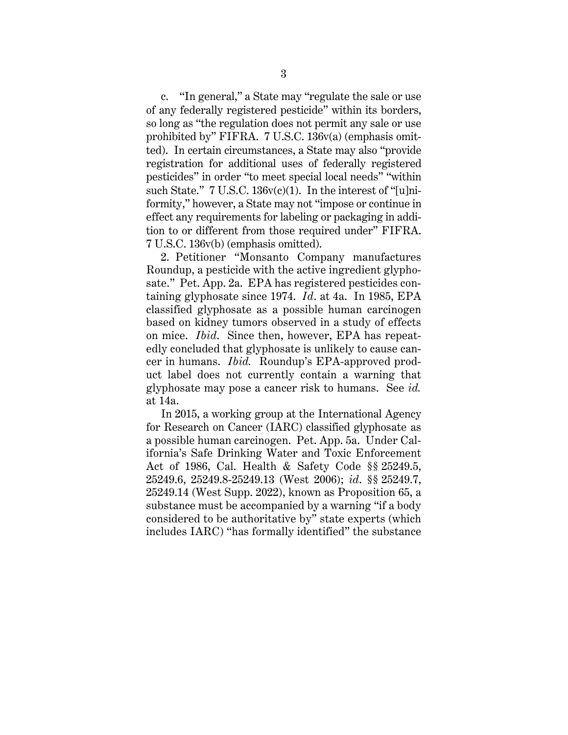c. "In general," a State may "regulate the sale or use of any federally registered pesticide" within its borders, so long as "the regulation does not permit any sale or use prohibited by" FIFRA. 7 U.S.C. 136v(a) (emphasis omitted). In certain circumstances, a State may also "provide registration for additional uses of federally registered pesticides" in order "to meet special local needs" "within such State." 7 U.S.C. 136v(c)(1). In the interest of "[u]niformity," however, a State may not "impose or continue in effect any requirements for labeling or packaging in addition to or different from those required under" FIFRA. 7 U.S.C. 136v(b) (emphasis omitted).

2. Petitioner "Monsanto Company manufactures Roundup, a pesticide with the active ingredient glyphosate." Pet. App. 2a. EPA has registered pesticides containing glyphosate since 1974. *Id*. at 4a. In 1985, EPA classified glyphosate as a possible human carcinogen based on kidney tumors observed in a study of effects on mice. *Ibid*. Since then, however, EPA has repeatedly concluded that glyphosate is unlikely to cause cancer in humans. *Ibid.* Roundup's EPA-approved product label does not currently contain a warning that glyphosate may pose a cancer risk to humans. See *id.* at 14a.

In 2015, a working group at the International Agency for Research on Cancer (IARC) classified glyphosate as a possible human carcinogen. Pet. App. 5a. Under California's Safe Drinking Water and Toxic Enforcement Act of 1986, Cal. Health & Safety Code §§ 25249.5, 25249.6, 25249.8-25249.13 (West 2006); *id*. §§ 25249.7, 25249.14 (West Supp. 2022), known as Proposition 65, a substance must be accompanied by a warning "if a body considered to be authoritative by" state experts (which includes IARC) "has formally identified" the substance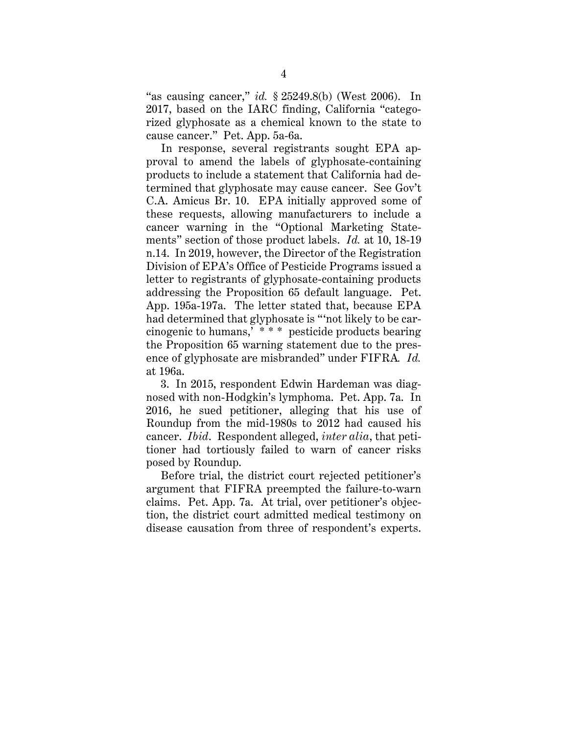"as causing cancer," *id.* § 25249.8(b) (West 2006). In 2017, based on the IARC finding, California "categorized glyphosate as a chemical known to the state to cause cancer." Pet. App. 5a-6a.

In response, several registrants sought EPA approval to amend the labels of glyphosate-containing products to include a statement that California had determined that glyphosate may cause cancer. See Gov't C.A. Amicus Br. 10. EPA initially approved some of these requests, allowing manufacturers to include a cancer warning in the "Optional Marketing Statements" section of those product labels. *Id.* at 10, 18-19 n.14. In 2019, however, the Director of the Registration Division of EPA's Office of Pesticide Programs issued a letter to registrants of glyphosate-containing products addressing the Proposition 65 default language. Pet. App. 195a-197a. The letter stated that, because EPA had determined that glyphosate is "'not likely to be carcinogenic to humans,' \* \* \* pesticide products bearing the Proposition 65 warning statement due to the presence of glyphosate are misbranded" under FIFRA*. Id.* at 196a.

3. In 2015, respondent Edwin Hardeman was diagnosed with non-Hodgkin's lymphoma. Pet. App. 7a. In 2016, he sued petitioner, alleging that his use of Roundup from the mid-1980s to 2012 had caused his cancer. *Ibid*. Respondent alleged, *inter alia*, that petitioner had tortiously failed to warn of cancer risks posed by Roundup.

Before trial, the district court rejected petitioner's argument that FIFRA preempted the failure-to-warn claims. Pet. App. 7a. At trial, over petitioner's objection, the district court admitted medical testimony on disease causation from three of respondent's experts.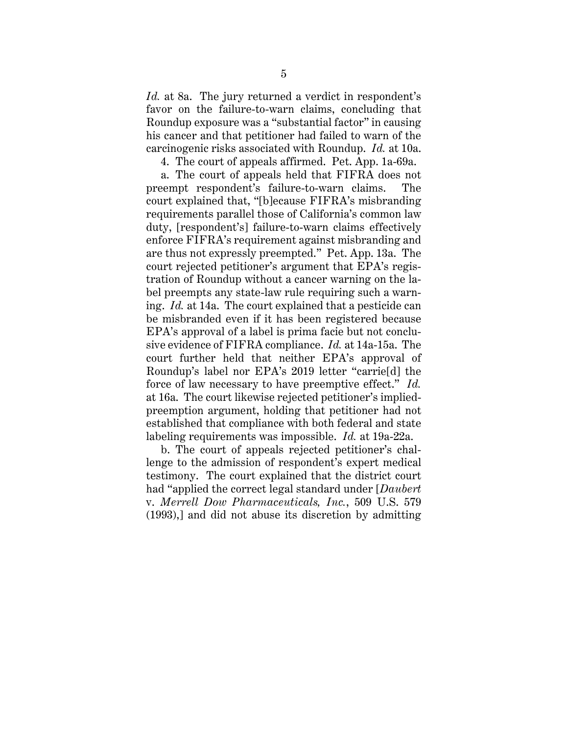*Id.* at 8a. The jury returned a verdict in respondent's favor on the failure-to-warn claims, concluding that Roundup exposure was a "substantial factor" in causing his cancer and that petitioner had failed to warn of the carcinogenic risks associated with Roundup. *Id.* at 10a.

4. The court of appeals affirmed. Pet. App. 1a-69a.

a. The court of appeals held that FIFRA does not preempt respondent's failure-to-warn claims. The court explained that, "[b]ecause FIFRA's misbranding requirements parallel those of California's common law duty, [respondent's] failure-to-warn claims effectively enforce FIFRA's requirement against misbranding and are thus not expressly preempted." Pet. App. 13a. The court rejected petitioner's argument that EPA's registration of Roundup without a cancer warning on the label preempts any state-law rule requiring such a warning. *Id.* at 14a. The court explained that a pesticide can be misbranded even if it has been registered because EPA's approval of a label is prima facie but not conclusive evidence of FIFRA compliance. *Id.* at 14a-15a. The court further held that neither EPA's approval of Roundup's label nor EPA's 2019 letter "carrie[d] the force of law necessary to have preemptive effect." *Id.* at 16a. The court likewise rejected petitioner's impliedpreemption argument, holding that petitioner had not established that compliance with both federal and state labeling requirements was impossible. *Id.* at 19a-22a.

b. The court of appeals rejected petitioner's challenge to the admission of respondent's expert medical testimony. The court explained that the district court had "applied the correct legal standard under [*Daubert*  v. *Merrell Dow Pharmaceuticals, Inc.*, 509 U.S. 579 (1993),] and did not abuse its discretion by admitting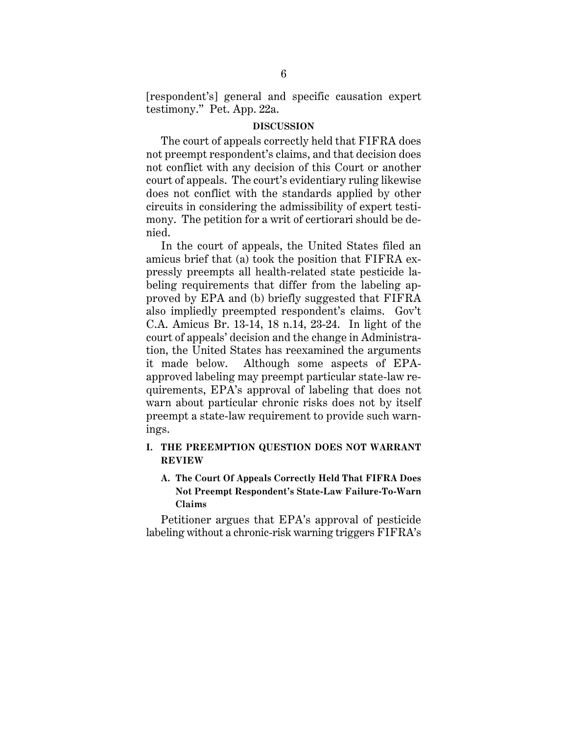[respondent's] general and specific causation expert testimony." Pet. App. 22a.

#### **DISCUSSION**

The court of appeals correctly held that FIFRA does not preempt respondent's claims, and that decision does not conflict with any decision of this Court or another court of appeals. The court's evidentiary ruling likewise does not conflict with the standards applied by other circuits in considering the admissibility of expert testimony. The petition for a writ of certiorari should be denied.

In the court of appeals, the United States filed an amicus brief that (a) took the position that FIFRA expressly preempts all health-related state pesticide labeling requirements that differ from the labeling approved by EPA and (b) briefly suggested that FIFRA also impliedly preempted respondent's claims. Gov't C.A. Amicus Br. 13-14, 18 n.14, 23-24. In light of the court of appeals' decision and the change in Administration, the United States has reexamined the arguments it made below. Although some aspects of EPAapproved labeling may preempt particular state-law requirements, EPA's approval of labeling that does not warn about particular chronic risks does not by itself preempt a state-law requirement to provide such warnings.

### **I. THE PREEMPTION QUESTION DOES NOT WARRANT REVIEW**

## **A. The Court Of Appeals Correctly Held That FIFRA Does Not Preempt Respondent's State-Law Failure-To-Warn Claims**

Petitioner argues that EPA's approval of pesticide labeling without a chronic-risk warning triggers FIFRA's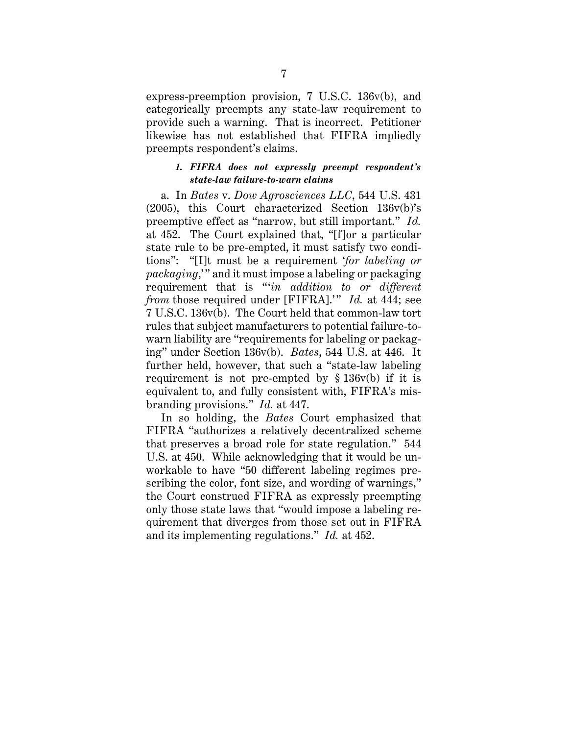express-preemption provision, 7 U.S.C. 136v(b), and categorically preempts any state-law requirement to provide such a warning. That is incorrect. Petitioner likewise has not established that FIFRA impliedly preempts respondent's claims.

#### *1. FIFRA does not expressly preempt respondent's state-law failure-to-warn claims*

a. In *Bates* v. *Dow Agrosciences LLC*, 544 U.S. 431 (2005), this Court characterized Section 136v(b)'s preemptive effect as "narrow, but still important." *Id.* at 452. The Court explained that, "[f]or a particular state rule to be pre-empted, it must satisfy two conditions": "[I]t must be a requirement '*for labeling or packaging*,' " and it must impose a labeling or packaging requirement that is "'*in addition to or different from* those required under [FIFRA].'" *Id.* at 444; see 7 U.S.C. 136v(b). The Court held that common-law tort rules that subject manufacturers to potential failure-towarn liability are "requirements for labeling or packaging" under Section 136v(b). *Bates*, 544 U.S. at 446. It further held, however, that such a "state-law labeling requirement is not pre-empted by § 136v(b) if it is equivalent to, and fully consistent with, FIFRA's misbranding provisions." *Id.* at 447.

In so holding, the *Bates* Court emphasized that FIFRA "authorizes a relatively decentralized scheme that preserves a broad role for state regulation." 544 U.S. at 450. While acknowledging that it would be unworkable to have "50 different labeling regimes prescribing the color, font size, and wording of warnings," the Court construed FIFRA as expressly preempting only those state laws that "would impose a labeling requirement that diverges from those set out in FIFRA and its implementing regulations." *Id.* at 452.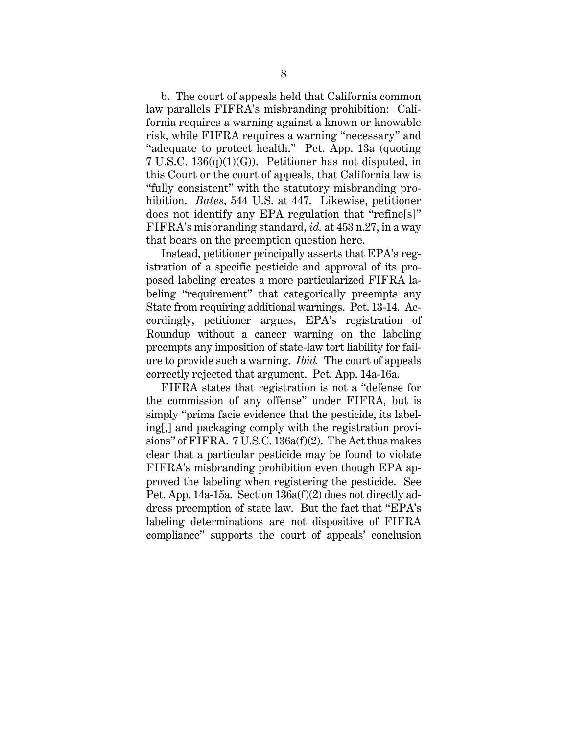b. The court of appeals held that California common law parallels FIFRA's misbranding prohibition: California requires a warning against a known or knowable risk, while FIFRA requires a warning "necessary" and "adequate to protect health." Pet. App. 13a (quoting 7 U.S.C. 136(q)(1)(G)). Petitioner has not disputed, in this Court or the court of appeals, that California law is "fully consistent" with the statutory misbranding prohibition. *Bates*, 544 U.S. at 447. Likewise, petitioner does not identify any EPA regulation that "refine[s]" FIFRA's misbranding standard, *id.* at 453 n.27, in a way that bears on the preemption question here.

Instead, petitioner principally asserts that EPA's registration of a specific pesticide and approval of its proposed labeling creates a more particularized FIFRA labeling "requirement" that categorically preempts any State from requiring additional warnings. Pet. 13-14. Accordingly, petitioner argues, EPA's registration of Roundup without a cancer warning on the labeling preempts any imposition of state-law tort liability for failure to provide such a warning. *Ibid.* The court of appeals correctly rejected that argument. Pet. App. 14a-16a.

FIFRA states that registration is not a "defense for the commission of any offense" under FIFRA, but is simply "prima facie evidence that the pesticide, its labeling[,] and packaging comply with the registration provisions" of FIFRA. 7 U.S.C. 136a(f)(2). The Act thus makes clear that a particular pesticide may be found to violate FIFRA's misbranding prohibition even though EPA approved the labeling when registering the pesticide. See Pet. App. 14a-15a. Section 136a(f)(2) does not directly address preemption of state law. But the fact that "EPA's labeling determinations are not dispositive of FIFRA compliance" supports the court of appeals' conclusion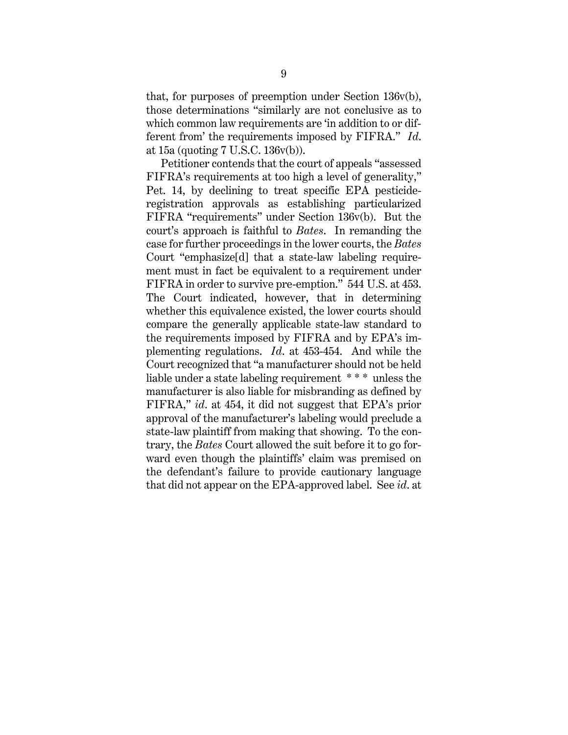that, for purposes of preemption under Section 136v(b), those determinations "similarly are not conclusive as to which common law requirements are 'in addition to or different from' the requirements imposed by FIFRA." *Id*. at 15a (quoting 7 U.S.C. 136v(b)).

Petitioner contends that the court of appeals "assessed FIFRA's requirements at too high a level of generality," Pet. 14, by declining to treat specific EPA pesticideregistration approvals as establishing particularized FIFRA "requirements" under Section 136v(b). But the court's approach is faithful to *Bates*. In remanding the case for further proceedings in the lower courts, the *Bates* Court "emphasize[d] that a state-law labeling requirement must in fact be equivalent to a requirement under FIFRA in order to survive pre-emption." 544 U.S. at 453. The Court indicated, however, that in determining whether this equivalence existed, the lower courts should compare the generally applicable state-law standard to the requirements imposed by FIFRA and by EPA's implementing regulations. *Id*. at 453-454. And while the Court recognized that "a manufacturer should not be held liable under a state labeling requirement \* \* \* unless the manufacturer is also liable for misbranding as defined by FIFRA," *id*. at 454, it did not suggest that EPA's prior approval of the manufacturer's labeling would preclude a state-law plaintiff from making that showing. To the contrary, the *Bates* Court allowed the suit before it to go forward even though the plaintiffs' claim was premised on the defendant's failure to provide cautionary language that did not appear on the EPA-approved label. See *id*. at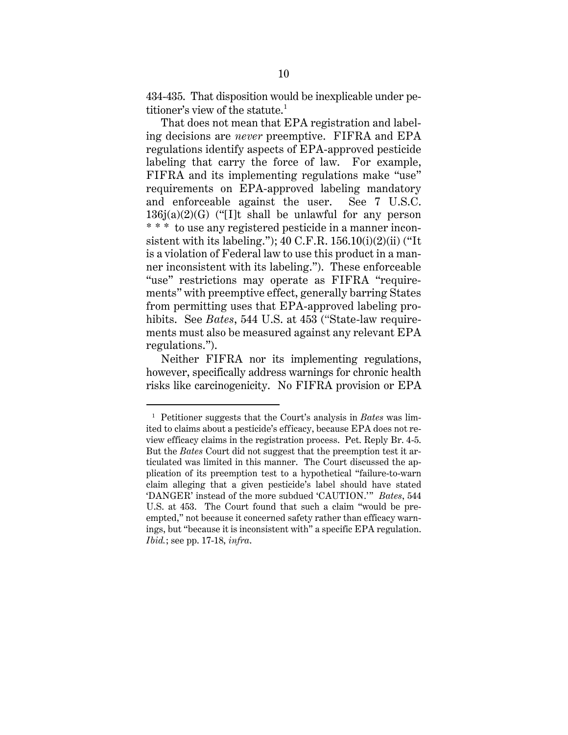434-435. That disposition would be inexplicable under petitioner's view of the statute. 1

That does not mean that EPA registration and labeling decisions are *never* preemptive. FIFRA and EPA regulations identify aspects of EPA-approved pesticide labeling that carry the force of law. For example, FIFRA and its implementing regulations make "use" requirements on EPA-approved labeling mandatory and enforceable against the user. See 7 U.S.C.  $136j(a)(2)(G)$  ("[I]t shall be unlawful for any person \* \* \* to use any registered pesticide in a manner inconsistent with its labeling.");  $40 \text{ C.F.R. } 156.10(i)(2)(ii)$  ("It is a violation of Federal law to use this product in a manner inconsistent with its labeling."). These enforceable "use" restrictions may operate as FIFRA "requirements" with preemptive effect, generally barring States from permitting uses that EPA-approved labeling prohibits. See *Bates*, 544 U.S. at 453 ("State-law requirements must also be measured against any relevant EPA regulations.").

Neither FIFRA nor its implementing regulations, however, specifically address warnings for chronic health risks like carcinogenicity. No FIFRA provision or EPA

<sup>1</sup> Petitioner suggests that the Court's analysis in *Bates* was limited to claims about a pesticide's efficacy, because EPA does not review efficacy claims in the registration process. Pet. Reply Br. 4-5. But the *Bates* Court did not suggest that the preemption test it articulated was limited in this manner. The Court discussed the application of its preemption test to a hypothetical "failure-to-warn claim alleging that a given pesticide's label should have stated 'DANGER' instead of the more subdued 'CAUTION.'" *Bates*, 544 U.S. at 453. The Court found that such a claim "would be preempted," not because it concerned safety rather than efficacy warnings, but "because it is inconsistent with" a specific EPA regulation. *Ibid.*; see pp. 17-18, *infra*.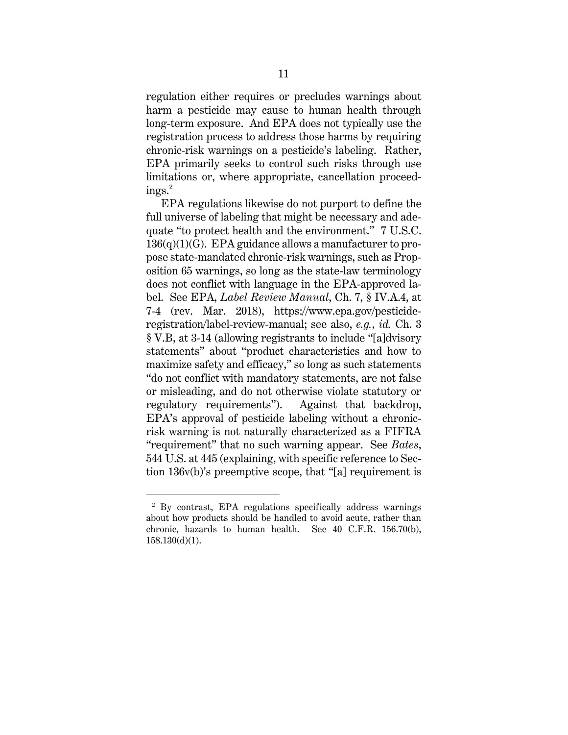regulation either requires or precludes warnings about harm a pesticide may cause to human health through long-term exposure. And EPA does not typically use the registration process to address those harms by requiring chronic-risk warnings on a pesticide's labeling. Rather, EPA primarily seeks to control such risks through use limitations or, where appropriate, cancellation proceedings. $^{2}$ 

EPA regulations likewise do not purport to define the full universe of labeling that might be necessary and adequate "to protect health and the environment." 7 U.S.C.  $136(q)(1)(G)$ . EPA guidance allows a manufacturer to propose state-mandated chronic-risk warnings, such as Proposition 65 warnings, so long as the state-law terminology does not conflict with language in the EPA-approved label. See EPA, *Label Review Manual*, Ch. 7, § IV.A.4, at 7-4 (rev. Mar. 2018), https://www.epa.gov/pesticideregistration/label-review-manual; see also, *e.g.*, *id.* Ch. 3 § V.B, at 3-14 (allowing registrants to include "[a]dvisory statements" about "product characteristics and how to maximize safety and efficacy," so long as such statements "do not conflict with mandatory statements, are not false or misleading, and do not otherwise violate statutory or regulatory requirements"). Against that backdrop, EPA's approval of pesticide labeling without a chronicrisk warning is not naturally characterized as a FIFRA "requirement" that no such warning appear. See *Bates*, 544 U.S. at 445 (explaining, with specific reference to Section 136v(b)'s preemptive scope, that "[a] requirement is

<sup>2</sup> By contrast, EPA regulations specifically address warnings about how products should be handled to avoid acute, rather than chronic, hazards to human health. See 40 C.F.R. 156.70(b), 158.130(d)(1).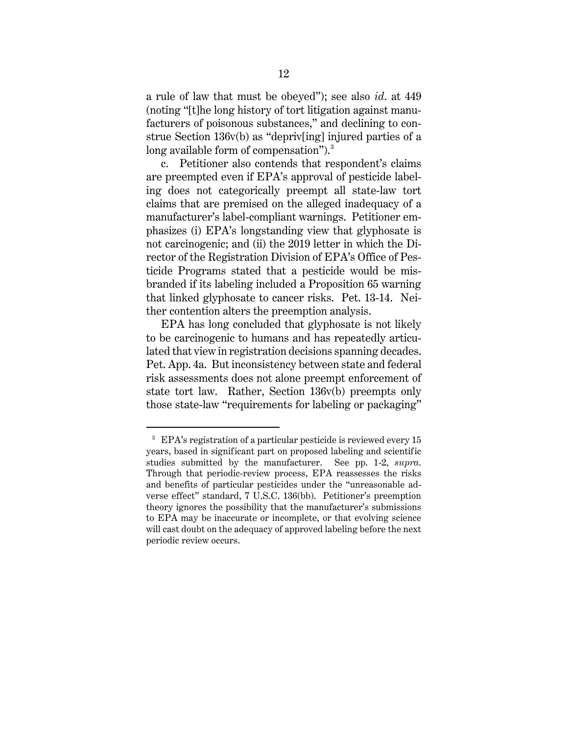a rule of law that must be obeyed"); see also *id*. at 449 (noting "[t]he long history of tort litigation against manufacturers of poisonous substances," and declining to construe Section 136v(b) as "depriv[ing] injured parties of a long available form of compensation").<sup>3</sup>

c. Petitioner also contends that respondent's claims are preempted even if EPA's approval of pesticide labeling does not categorically preempt all state-law tort claims that are premised on the alleged inadequacy of a manufacturer's label-compliant warnings. Petitioner emphasizes (i) EPA's longstanding view that glyphosate is not carcinogenic; and (ii) the 2019 letter in which the Director of the Registration Division of EPA's Office of Pesticide Programs stated that a pesticide would be misbranded if its labeling included a Proposition 65 warning that linked glyphosate to cancer risks. Pet. 13-14. Neither contention alters the preemption analysis.

EPA has long concluded that glyphosate is not likely to be carcinogenic to humans and has repeatedly articulated that view in registration decisions spanning decades. Pet. App. 4a. But inconsistency between state and federal risk assessments does not alone preempt enforcement of state tort law. Rather, Section 136v(b) preempts only those state-law "requirements for labeling or packaging"

<sup>3</sup> EPA's registration of a particular pesticide is reviewed every 15 years, based in significant part on proposed labeling and scientific studies submitted by the manufacturer. See pp. 1-2, *supra*. Through that periodic-review process, EPA reassesses the risks and benefits of particular pesticides under the "unreasonable adverse effect" standard, 7 U.S.C. 136(bb). Petitioner's preemption theory ignores the possibility that the manufacturer's submissions to EPA may be inaccurate or incomplete, or that evolving science will cast doubt on the adequacy of approved labeling before the next periodic review occurs.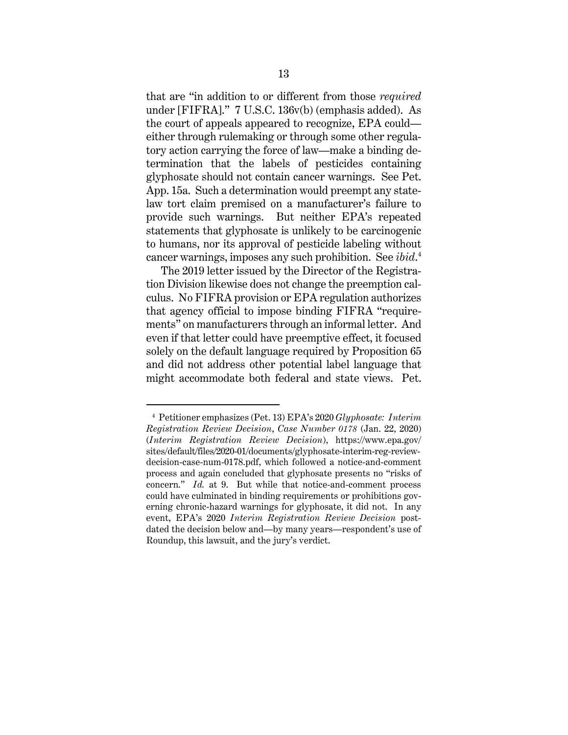that are "in addition to or different from those *required* under [FIFRA]." 7 U.S.C. 136v(b) (emphasis added). As the court of appeals appeared to recognize, EPA could either through rulemaking or through some other regulatory action carrying the force of law—make a binding determination that the labels of pesticides containing glyphosate should not contain cancer warnings. See Pet. App. 15a. Such a determination would preempt any statelaw tort claim premised on a manufacturer's failure to provide such warnings. But neither EPA's repeated statements that glyphosate is unlikely to be carcinogenic to humans, nor its approval of pesticide labeling without cancer warnings, imposes any such prohibition. See *ibid*. 4

The 2019 letter issued by the Director of the Registration Division likewise does not change the preemption calculus. No FIFRA provision or EPA regulation authorizes that agency official to impose binding FIFRA "requirements" on manufacturers through an informal letter. And even if that letter could have preemptive effect, it focused solely on the default language required by Proposition 65 and did not address other potential label language that might accommodate both federal and state views. Pet.

<sup>4</sup> Petitioner emphasizes (Pet. 13) EPA's 2020 *Glyphosate: Interim Registration Review Decision*, *Case Number 0178* (Jan. 22, 2020) (*Interim Registration Review Decision*), https://www.epa.gov/ sites/default/files/2020-01/documents/glyphosate-interim-reg-reviewdecision-case-num-0178.pdf, which followed a notice-and-comment process and again concluded that glyphosate presents no "risks of concern." *Id.* at 9. But while that notice-and-comment process could have culminated in binding requirements or prohibitions governing chronic-hazard warnings for glyphosate, it did not. In any event, EPA's 2020 *Interim Registration Review Decision* postdated the decision below and—by many years—respondent's use of Roundup, this lawsuit, and the jury's verdict.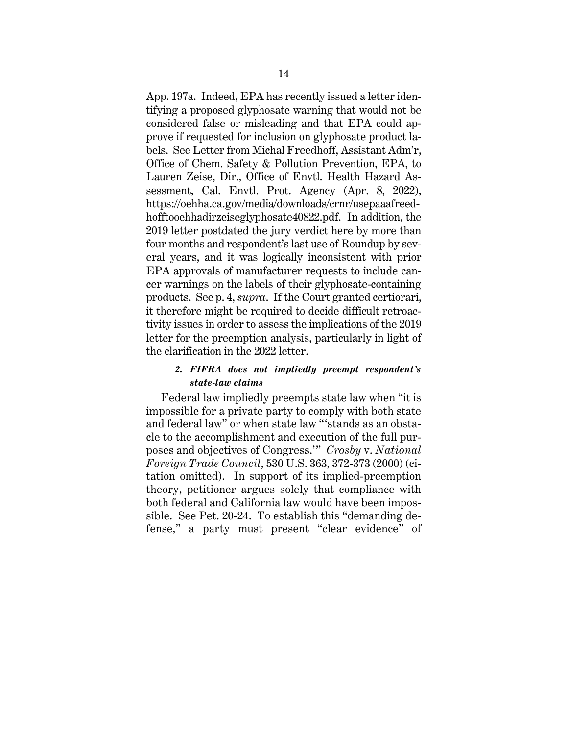App. 197a. Indeed, EPA has recently issued a letter identifying a proposed glyphosate warning that would not be considered false or misleading and that EPA could approve if requested for inclusion on glyphosate product labels. See Letter from Michal Freedhoff, Assistant Adm'r, Office of Chem. Safety & Pollution Prevention, EPA, to Lauren Zeise, Dir., Office of Envtl. Health Hazard Assessment, Cal. Envtl. Prot. Agency (Apr. 8, 2022), https://oehha.ca.gov/media/downloads/crnr/usepaaafreedhofftooehhadirzeiseglyphosate40822.pdf. In addition, the 2019 letter postdated the jury verdict here by more than four months and respondent's last use of Roundup by several years, and it was logically inconsistent with prior EPA approvals of manufacturer requests to include cancer warnings on the labels of their glyphosate-containing products. See p. 4, *supra*. If the Court granted certiorari, it therefore might be required to decide difficult retroactivity issues in order to assess the implications of the 2019 letter for the preemption analysis, particularly in light of the clarification in the 2022 letter.

## *2. FIFRA does not impliedly preempt respondent's state-law claims*

Federal law impliedly preempts state law when "it is impossible for a private party to comply with both state and federal law" or when state law "'stands as an obstacle to the accomplishment and execution of the full purposes and objectives of Congress.'" *Crosby* v. *National Foreign Trade Council*, 530 U.S. 363, 372-373 (2000) (citation omitted). In support of its implied-preemption theory, petitioner argues solely that compliance with both federal and California law would have been impossible. See Pet. 20-24. To establish this "demanding defense," a party must present "clear evidence" of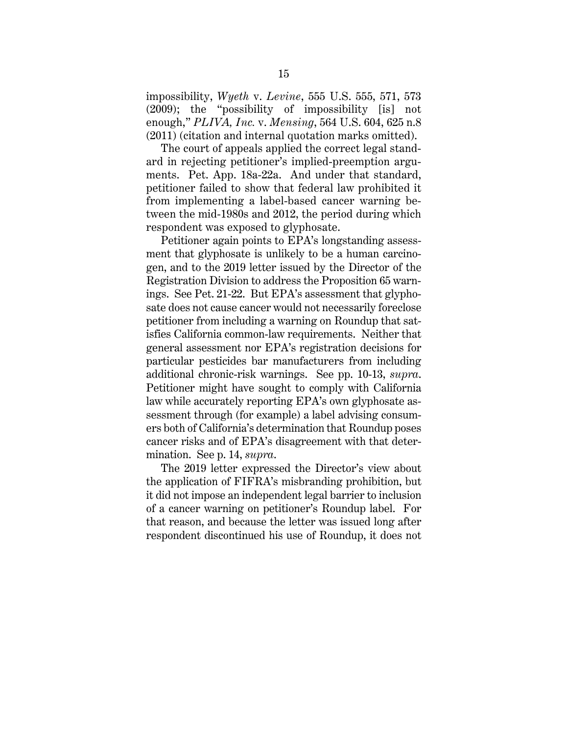impossibility, *Wyeth* v. *Levine*, 555 U.S. 555, 571, 573 (2009); the "possibility of impossibility [is] not enough," *PLIVA, Inc.* v. *Mensing*, 564 U.S. 604, 625 n.8 (2011) (citation and internal quotation marks omitted).

The court of appeals applied the correct legal standard in rejecting petitioner's implied-preemption arguments. Pet. App. 18a-22a. And under that standard, petitioner failed to show that federal law prohibited it from implementing a label-based cancer warning between the mid-1980s and 2012, the period during which respondent was exposed to glyphosate.

Petitioner again points to EPA's longstanding assessment that glyphosate is unlikely to be a human carcinogen, and to the 2019 letter issued by the Director of the Registration Division to address the Proposition 65 warnings. See Pet. 21-22. But EPA's assessment that glyphosate does not cause cancer would not necessarily foreclose petitioner from including a warning on Roundup that satisfies California common-law requirements. Neither that general assessment nor EPA's registration decisions for particular pesticides bar manufacturers from including additional chronic-risk warnings. See pp. 10-13, *supra*. Petitioner might have sought to comply with California law while accurately reporting EPA's own glyphosate assessment through (for example) a label advising consumers both of California's determination that Roundup poses cancer risks and of EPA's disagreement with that determination. See p. 14, *supra*.

The 2019 letter expressed the Director's view about the application of FIFRA's misbranding prohibition, but it did not impose an independent legal barrier to inclusion of a cancer warning on petitioner's Roundup label. For that reason, and because the letter was issued long after respondent discontinued his use of Roundup, it does not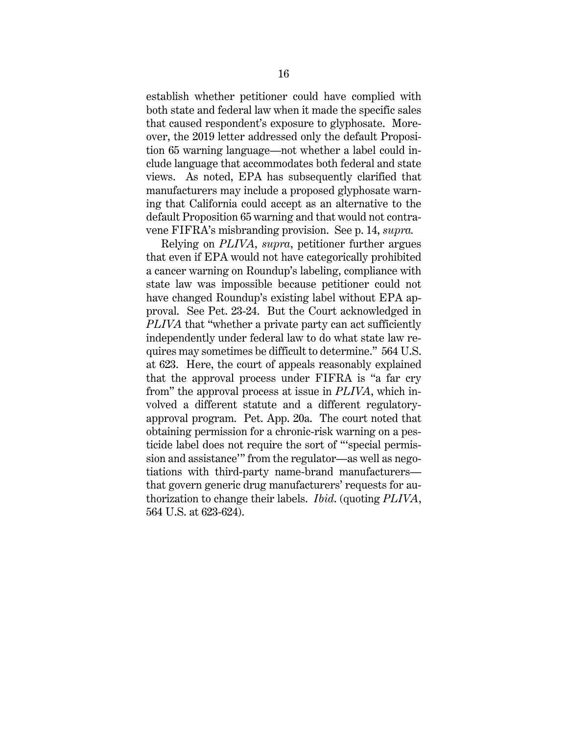establish whether petitioner could have complied with both state and federal law when it made the specific sales that caused respondent's exposure to glyphosate. Moreover, the 2019 letter addressed only the default Proposition 65 warning language—not whether a label could include language that accommodates both federal and state views. As noted, EPA has subsequently clarified that manufacturers may include a proposed glyphosate warning that California could accept as an alternative to the default Proposition 65 warning and that would not contravene FIFRA's misbranding provision. See p. 14, *supra.*

Relying on *PLIVA*, *supra*, petitioner further argues that even if EPA would not have categorically prohibited a cancer warning on Roundup's labeling, compliance with state law was impossible because petitioner could not have changed Roundup's existing label without EPA approval. See Pet. 23-24. But the Court acknowledged in *PLIVA* that "whether a private party can act sufficiently independently under federal law to do what state law requires may sometimes be difficult to determine." 564 U.S. at 623. Here, the court of appeals reasonably explained that the approval process under FIFRA is "a far cry from" the approval process at issue in *PLIVA*, which involved a different statute and a different regulatoryapproval program. Pet. App. 20a. The court noted that obtaining permission for a chronic-risk warning on a pesticide label does not require the sort of "'special permission and assistance'" from the regulator—as well as negotiations with third-party name-brand manufacturers that govern generic drug manufacturers' requests for authorization to change their labels. *Ibid*. (quoting *PLIVA*, 564 U.S. at 623-624).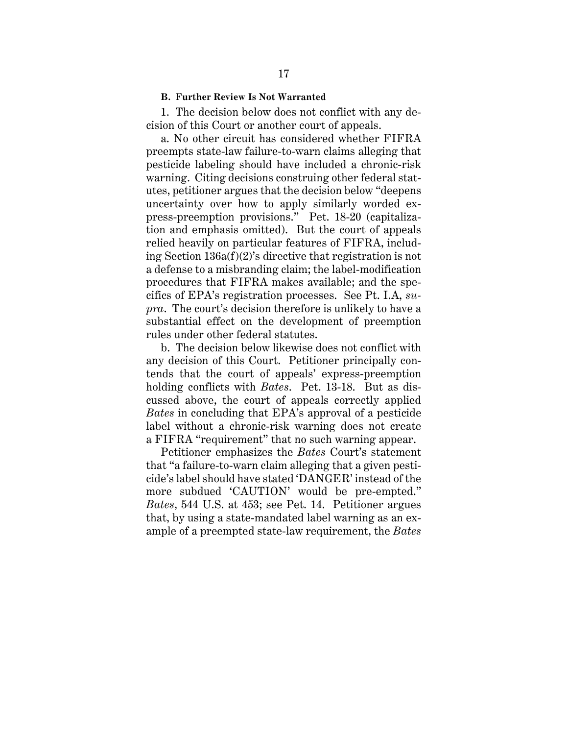#### **B. Further Review Is Not Warranted**

1. The decision below does not conflict with any decision of this Court or another court of appeals.

a. No other circuit has considered whether FIFRA preempts state-law failure-to-warn claims alleging that pesticide labeling should have included a chronic-risk warning. Citing decisions construing other federal statutes, petitioner argues that the decision below "deepens uncertainty over how to apply similarly worded express-preemption provisions." Pet. 18-20 (capitalization and emphasis omitted). But the court of appeals relied heavily on particular features of FIFRA, including Section 136a(f)(2)'s directive that registration is not a defense to a misbranding claim; the label-modification procedures that FIFRA makes available; and the specifics of EPA's registration processes. See Pt. I.A, *supra*. The court's decision therefore is unlikely to have a substantial effect on the development of preemption rules under other federal statutes.

b. The decision below likewise does not conflict with any decision of this Court. Petitioner principally contends that the court of appeals' express-preemption holding conflicts with *Bates*. Pet. 13-18. But as discussed above, the court of appeals correctly applied *Bates* in concluding that EPA's approval of a pesticide label without a chronic-risk warning does not create a FIFRA "requirement" that no such warning appear.

Petitioner emphasizes the *Bates* Court's statement that "a failure-to-warn claim alleging that a given pesticide's label should have stated 'DANGER' instead of the more subdued 'CAUTION' would be pre-empted." *Bates*, 544 U.S. at 453; see Pet. 14. Petitioner argues that, by using a state-mandated label warning as an example of a preempted state-law requirement, the *Bates*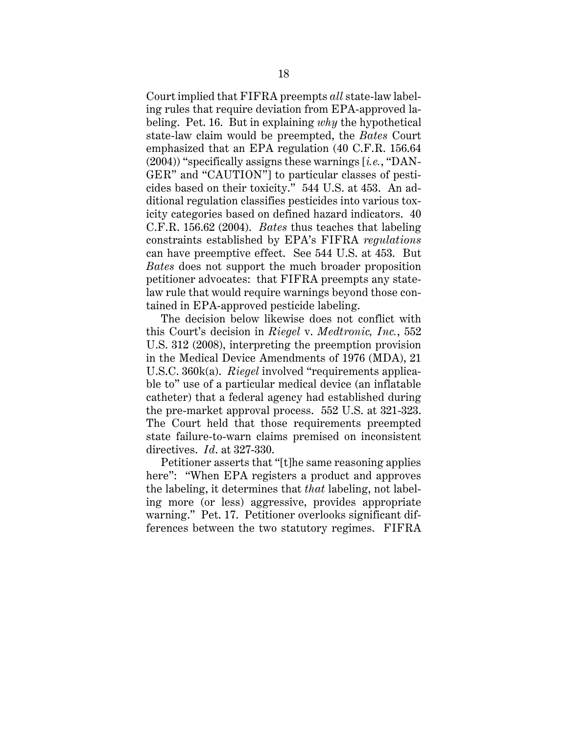Court implied that FIFRA preempts *all* state-law labeling rules that require deviation from EPA-approved labeling. Pet. 16. But in explaining *why* the hypothetical state-law claim would be preempted, the *Bates* Court emphasized that an EPA regulation (40 C.F.R. 156.64 (2004)) "specifically assigns these warnings [*i.e.*, "DAN-GER" and "CAUTION"] to particular classes of pesticides based on their toxicity." 544 U.S. at 453. An additional regulation classifies pesticides into various toxicity categories based on defined hazard indicators. 40 C.F.R. 156.62 (2004). *Bates* thus teaches that labeling constraints established by EPA's FIFRA *regulations* can have preemptive effect. See 544 U.S. at 453. But *Bates* does not support the much broader proposition petitioner advocates: that FIFRA preempts any statelaw rule that would require warnings beyond those contained in EPA-approved pesticide labeling.

The decision below likewise does not conflict with this Court's decision in *Riegel* v. *Medtronic, Inc.*, 552 U.S. 312 (2008), interpreting the preemption provision in the Medical Device Amendments of 1976 (MDA), 21 U.S.C. 360k(a). *Riegel* involved "requirements applicable to" use of a particular medical device (an inflatable catheter) that a federal agency had established during the pre-market approval process. 552 U.S. at 321-323. The Court held that those requirements preempted state failure-to-warn claims premised on inconsistent directives. *Id*. at 327-330.

Petitioner asserts that "[t]he same reasoning applies here": "When EPA registers a product and approves the labeling, it determines that *that* labeling, not labeling more (or less) aggressive, provides appropriate warning." Pet. 17. Petitioner overlooks significant differences between the two statutory regimes. FIFRA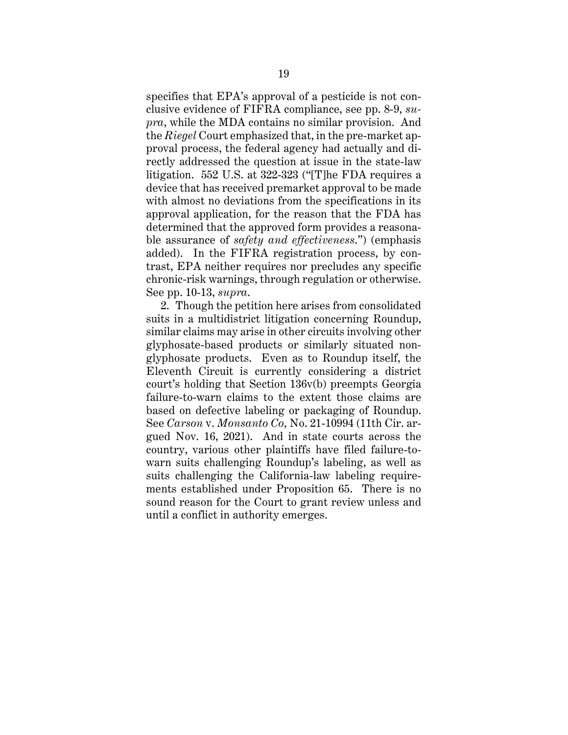specifies that EPA's approval of a pesticide is not conclusive evidence of FIFRA compliance, see pp. 8-9, *supra*, while the MDA contains no similar provision. And the *Riegel* Court emphasized that, in the pre-market approval process, the federal agency had actually and directly addressed the question at issue in the state-law litigation. 552 U.S. at 322-323 ("[T]he FDA requires a device that has received premarket approval to be made with almost no deviations from the specifications in its approval application, for the reason that the FDA has determined that the approved form provides a reasonable assurance of *safety and effectiveness*.") (emphasis added). In the FIFRA registration process, by contrast, EPA neither requires nor precludes any specific chronic-risk warnings, through regulation or otherwise. See pp. 10-13, *supra*.

2. Though the petition here arises from consolidated suits in a multidistrict litigation concerning Roundup, similar claims may arise in other circuits involving other glyphosate-based products or similarly situated nonglyphosate products. Even as to Roundup itself, the Eleventh Circuit is currently considering a district court's holding that Section 136v(b) preempts Georgia failure-to-warn claims to the extent those claims are based on defective labeling or packaging of Roundup. See *Carson* v. *Monsanto Co*, No. 21-10994 (11th Cir. argued Nov. 16, 2021). And in state courts across the country, various other plaintiffs have filed failure-towarn suits challenging Roundup's labeling, as well as suits challenging the California-law labeling requirements established under Proposition 65. There is no sound reason for the Court to grant review unless and until a conflict in authority emerges.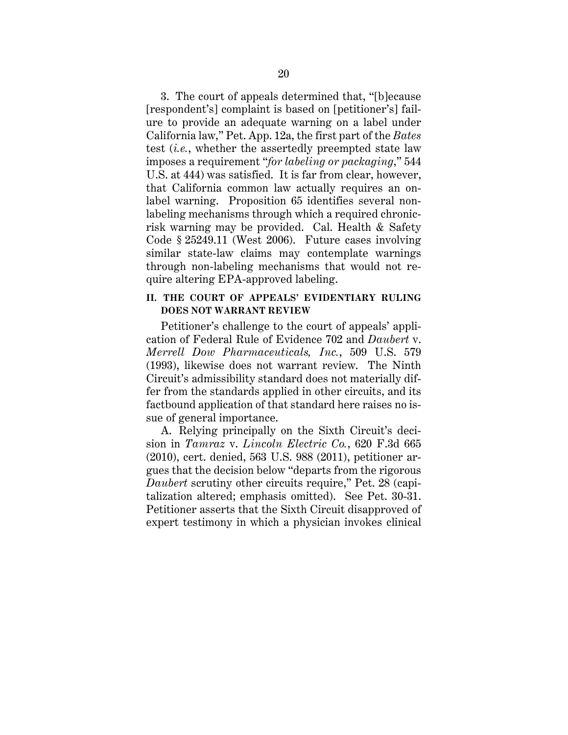3. The court of appeals determined that, "[b]ecause [respondent's] complaint is based on [petitioner's] failure to provide an adequate warning on a label under California law," Pet. App. 12a, the first part of the *Bates*  test (*i.e.*, whether the assertedly preempted state law imposes a requirement "*for labeling or packaging*," 544 U.S. at 444) was satisfied. It is far from clear, however, that California common law actually requires an onlabel warning. Proposition 65 identifies several nonlabeling mechanisms through which a required chronicrisk warning may be provided. Cal. Health & Safety Code § 25249.11 (West 2006). Future cases involving similar state-law claims may contemplate warnings through non-labeling mechanisms that would not require altering EPA-approved labeling.

## **II. THE COURT OF APPEALS' EVIDENTIARY RULING DOES NOT WARRANT REVIEW**

Petitioner's challenge to the court of appeals' application of Federal Rule of Evidence 702 and *Daubert* v. *Merrell Dow Pharmaceuticals, Inc.*, 509 U.S. 579 (1993), likewise does not warrant review. The Ninth Circuit's admissibility standard does not materially differ from the standards applied in other circuits, and its factbound application of that standard here raises no issue of general importance.

A. Relying principally on the Sixth Circuit's decision in *Tamraz* v. *Lincoln Electric Co.*, 620 F.3d 665 (2010), cert. denied, 563 U.S. 988 (2011), petitioner argues that the decision below "departs from the rigorous *Daubert* scrutiny other circuits require," Pet. 28 (capitalization altered; emphasis omitted). See Pet. 30-31. Petitioner asserts that the Sixth Circuit disapproved of expert testimony in which a physician invokes clinical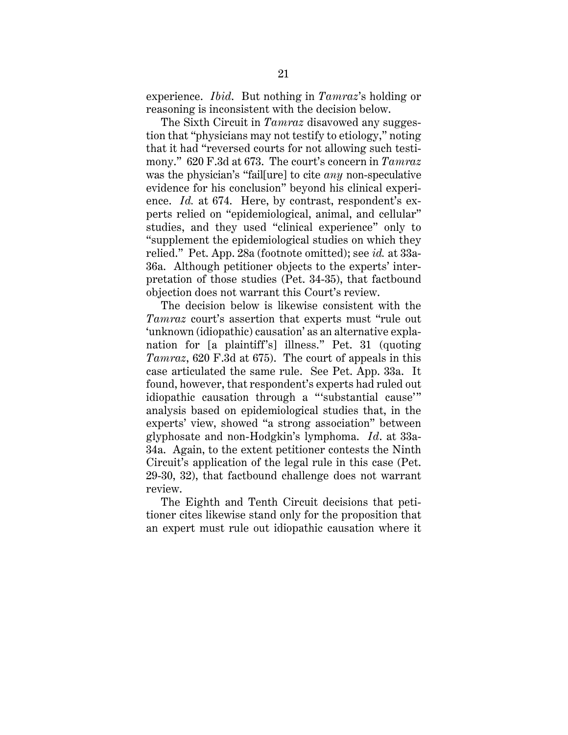experience. *Ibid*. But nothing in *Tamraz*'s holding or reasoning is inconsistent with the decision below.

 The Sixth Circuit in *Tamraz* disavowed any suggestion that "physicians may not testify to etiology," noting that it had "reversed courts for not allowing such testimony." 620 F.3d at 673. The court's concern in *Tamraz*  was the physician's "fail[ure] to cite *any* non-speculative evidence for his conclusion" beyond his clinical experience. *Id.* at 674. Here, by contrast, respondent's experts relied on "epidemiological, animal, and cellular" studies, and they used "clinical experience" only to "supplement the epidemiological studies on which they relied." Pet. App. 28a (footnote omitted); see *id.* at 33a-36a. Although petitioner objects to the experts' interpretation of those studies (Pet. 34-35), that factbound objection does not warrant this Court's review.

 The decision below is likewise consistent with the *Tamraz* court's assertion that experts must "rule out 'unknown (idiopathic) causation' as an alternative explanation for [a plaintiff's] illness." Pet. 31 (quoting *Tamraz*, 620 F.3d at 675). The court of appeals in this case articulated the same rule. See Pet. App. 33a. It found, however, that respondent's experts had ruled out idiopathic causation through a "'substantial cause'" analysis based on epidemiological studies that, in the experts' view, showed "a strong association" between glyphosate and non-Hodgkin's lymphoma. *Id*. at 33a-34a. Again, to the extent petitioner contests the Ninth Circuit's application of the legal rule in this case (Pet. 29-30, 32), that factbound challenge does not warrant review.

The Eighth and Tenth Circuit decisions that petitioner cites likewise stand only for the proposition that an expert must rule out idiopathic causation where it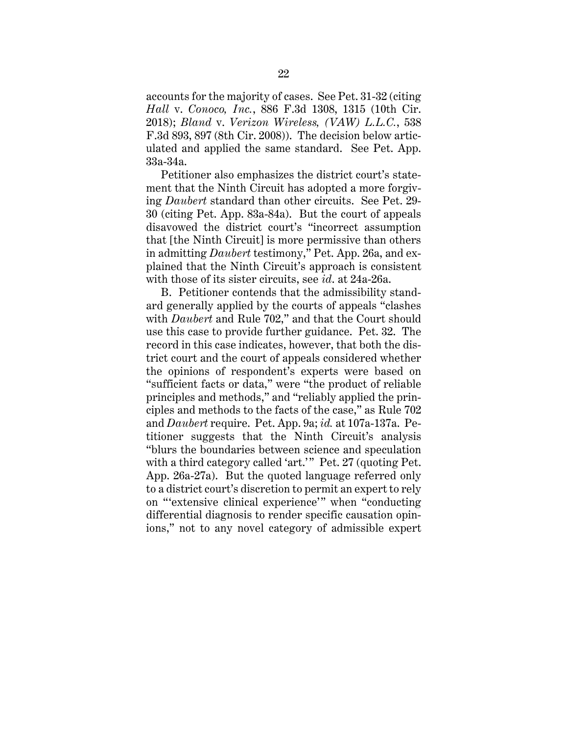accounts for the majority of cases. See Pet. 31-32 (citing *Hall* v. *Conoco, Inc.*, 886 F.3d 1308, 1315 (10th Cir. 2018); *Bland* v. *Verizon Wireless, (VAW) L.L.C.*, 538 F.3d 893, 897 (8th Cir. 2008)). The decision below articulated and applied the same standard. See Pet. App. 33a-34a.

Petitioner also emphasizes the district court's statement that the Ninth Circuit has adopted a more forgiving *Daubert* standard than other circuits. See Pet. 29- 30 (citing Pet. App. 83a-84a). But the court of appeals disavowed the district court's "incorrect assumption that [the Ninth Circuit] is more permissive than others in admitting *Daubert* testimony," Pet. App. 26a, and explained that the Ninth Circuit's approach is consistent with those of its sister circuits, see *id*. at 24a-26a.

B. Petitioner contends that the admissibility standard generally applied by the courts of appeals "clashes with *Daubert* and Rule 702," and that the Court should use this case to provide further guidance. Pet. 32. The record in this case indicates, however, that both the district court and the court of appeals considered whether the opinions of respondent's experts were based on "sufficient facts or data," were "the product of reliable principles and methods," and "reliably applied the principles and methods to the facts of the case," as Rule 702 and *Daubert* require. Pet. App. 9a; *id.* at 107a-137a. Petitioner suggests that the Ninth Circuit's analysis "blurs the boundaries between science and speculation with a third category called 'art.'" Pet. 27 (quoting Pet. App. 26a-27a). But the quoted language referred only to a district court's discretion to permit an expert to rely on "'extensive clinical experience'" when "conducting differential diagnosis to render specific causation opinions," not to any novel category of admissible expert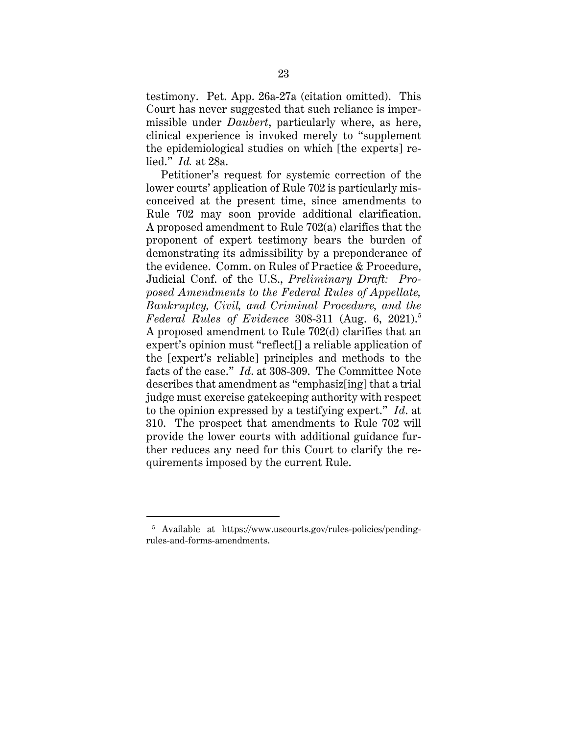testimony. Pet. App. 26a-27a (citation omitted). This Court has never suggested that such reliance is impermissible under *Daubert*, particularly where, as here, clinical experience is invoked merely to "supplement the epidemiological studies on which [the experts] relied." *Id.* at 28a.

Petitioner's request for systemic correction of the lower courts' application of Rule 702 is particularly misconceived at the present time, since amendments to Rule 702 may soon provide additional clarification. A proposed amendment to Rule 702(a) clarifies that the proponent of expert testimony bears the burden of demonstrating its admissibility by a preponderance of the evidence. Comm. on Rules of Practice & Procedure, Judicial Conf. of the U.S., *Preliminary Draft: Proposed Amendments to the Federal Rules of Appellate, Bankruptcy, Civil, and Criminal Procedure, and the Federal Rules of Evidence* 308-311 (Aug. 6, 2021).<sup>5</sup> A proposed amendment to Rule 702(d) clarifies that an expert's opinion must "reflect[] a reliable application of the [expert's reliable] principles and methods to the facts of the case." *Id*. at 308-309. The Committee Note describes that amendment as "emphasiz[ing] that a trial judge must exercise gatekeeping authority with respect to the opinion expressed by a testifying expert." *Id*. at 310. The prospect that amendments to Rule 702 will provide the lower courts with additional guidance further reduces any need for this Court to clarify the requirements imposed by the current Rule.

<sup>&</sup>lt;sup>5</sup> Available at https://www.uscourts.gov/rules-policies/pendingrules-and-forms-amendments.